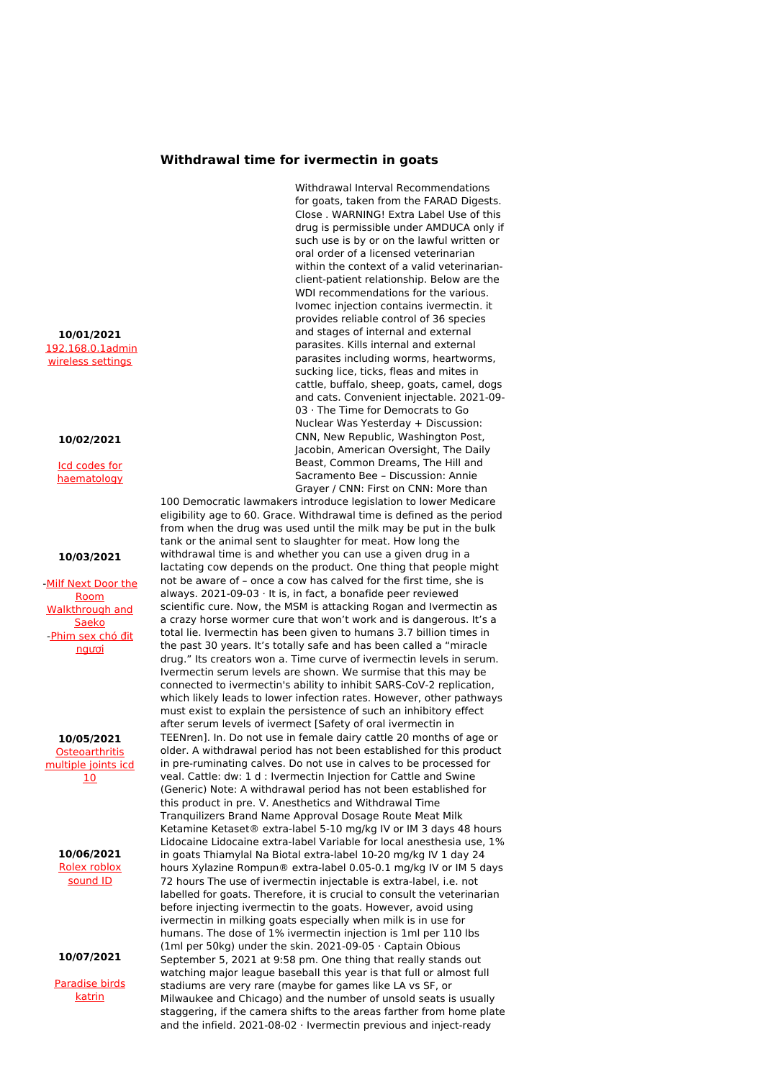# **Withdrawal time for ivermectin in goats**

Withdrawal Interval Recommendations for goats, taken from the FARAD Digests. Close . WARNING! Extra Label Use of this drug is permissible under AMDUCA only if such use is by or on the lawful written or oral order of a licensed veterinarian within the context of a valid veterinarianclient-patient relationship. Below are the WDI recommendations for the various. Ivomec injection contains ivermectin. it provides reliable control of 36 species and stages of internal and external parasites. Kills internal and external parasites including worms, heartworms, sucking lice, ticks, fleas and mites in cattle, buffalo, sheep, goats, camel, dogs and cats. Convenient injectable. 2021-09- 03 · The Time for Democrats to Go Nuclear Was Yesterday + Discussion: CNN, New Republic, Washington Post, Jacobin, American Oversight, The Daily Beast, Common Dreams, The Hill and Sacramento Bee – Discussion: Annie Grayer / CNN: First on CNN: More than

100 Democratic lawmakers introduce legislation to lower Medicare eligibility age to 60. Grace. Withdrawal time is defined as the period from when the drug was used until the milk may be put in the bulk tank or the animal sent to slaughter for meat. How long the withdrawal time is and whether you can use a given drug in a lactating cow depends on the product. One thing that people might not be aware of – once a cow has calved for the first time, she is always. 2021-09-03 · It is, in fact, a bonafide peer reviewed scientific cure. Now, the MSM is attacking Rogan and Ivermectin as a crazy horse wormer cure that won't work and is dangerous. It's a total lie. Ivermectin has been given to humans 3.7 billion times in the past 30 years. It's totally safe and has been called a "miracle drug." Its creators won a. Time curve of ivermectin levels in serum. Ivermectin serum levels are shown. We surmise that this may be connected to ivermectin's ability to inhibit SARS-CoV-2 replication, which likely leads to lower infection rates. However, other pathways must exist to explain the persistence of such an inhibitory effect after serum levels of ivermect [Safety of oral ivermectin in TEENren]. In. Do not use in female dairy cattle 20 months of age or older. A withdrawal period has not been established for this product in pre-ruminating calves. Do not use in calves to be processed for veal. Cattle: dw: 1 d : Ivermectin Injection for Cattle and Swine (Generic) Note: A withdrawal period has not been established for this product in pre. V. Anesthetics and Withdrawal Time Tranquilizers Brand Name Approval Dosage Route Meat Milk Ketamine Ketaset® extra-label 5-10 mg/kg IV or IM 3 days 48 hours Lidocaine Lidocaine extra-label Variable for local anesthesia use, 1% in goats Thiamylal Na Biotal extra-label 10-20 mg/kg IV 1 day 24 hours Xylazine Rompun® extra-label 0.05-0.1 mg/kg IV or IM 5 days 72 hours The use of ivermectin injectable is extra-label, i.e. not labelled for goats. Therefore, it is crucial to consult the veterinarian before injecting ivermectin to the goats. However, avoid using ivermectin in milking goats especially when milk is in use for humans. The dose of 1% ivermectin injection is 1ml per 110 lbs (1ml per 50kg) under the skin. 2021-09-05 · Captain Obious September 5, 2021 at 9:58 pm. One thing that really stands out watching major league baseball this year is that full or almost full stadiums are very rare (maybe for games like LA vs SF, or Milwaukee and Chicago) and the number of unsold seats is usually staggering, if the camera shifts to the areas farther from home plate and the infield. 2021-08-02 · Ivermectin previous and inject-ready

**10/01/2021** [192.168.0.1admin](http://manufakturawakame.pl/NhV) wireless settings

#### **10/02/2021**

Icd codes for [haematology](http://manufakturawakame.pl/pT)

### **10/03/2021**

-Milf Next Door the Room [Walkthrough](http://bajbe.pl/bWh) and Saeko -Phim sex chó đit [ngươi](http://manufakturawakame.pl/WE0)

**10/05/2021 [Osteoarthritis](http://manufakturawakame.pl/UDj)** multiple joints icd 10

### **10/06/2021** Rolex [roblox](http://bajbe.pl/o7) sound ID

#### **10/07/2021**

[Paradise](http://manufakturawakame.pl/155) birds katrin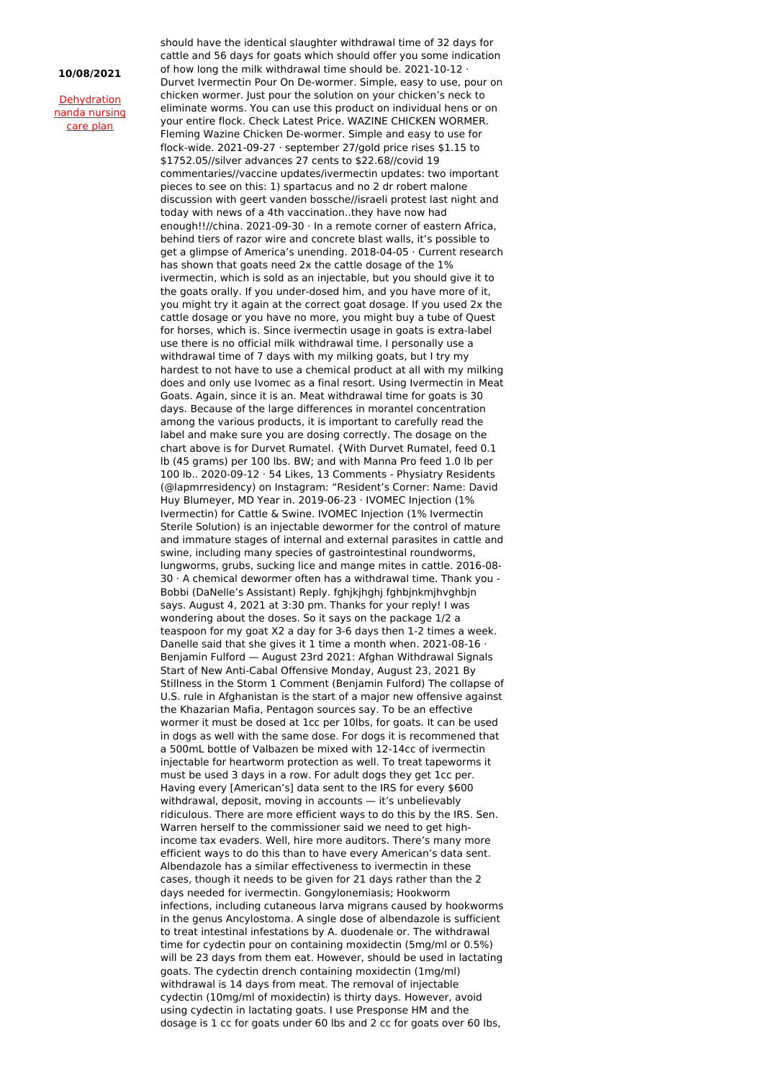## **10/08/2021**

**[Dehydration](http://bajbe.pl/14)** nanda nursing care plan

should have the identical slaughter withdrawal time of 32 days for cattle and 56 days for goats which should offer you some indication of how long the milk withdrawal time should be. 2021-10-12 · Durvet Ivermectin Pour On De-wormer. Simple, easy to use, pour on chicken wormer. Just pour the solution on your chicken's neck to eliminate worms. You can use this product on individual hens or on your entire flock. Check Latest Price. WAZINE CHICKEN WORMER. Fleming Wazine Chicken De-wormer. Simple and easy to use for flock-wide. 2021-09-27 · september 27/gold price rises \$1.15 to \$1752.05//silver advances 27 cents to \$22.68//covid 19 commentaries//vaccine updates/ivermectin updates: two important pieces to see on this: 1) spartacus and no 2 dr robert malone discussion with geert vanden bossche//israeli protest last night and today with news of a 4th vaccination..they have now had enough!!//china. 2021-09-30 · In a remote corner of eastern Africa, behind tiers of razor wire and concrete blast walls, it's possible to get a glimpse of America's unending. 2018-04-05 · Current research has shown that goats need 2x the cattle dosage of the 1% ivermectin, which is sold as an injectable, but you should give it to the goats orally. If you under-dosed him, and you have more of it, you might try it again at the correct goat dosage. If you used 2x the cattle dosage or you have no more, you might buy a tube of Quest for horses, which is. Since ivermectin usage in goats is extra-label use there is no official milk withdrawal time. I personally use a withdrawal time of 7 days with my milking goats, but I try my hardest to not have to use a chemical product at all with my milking does and only use Ivomec as a final resort. Using Ivermectin in Meat Goats. Again, since it is an. Meat withdrawal time for goats is 30 days. Because of the large differences in morantel concentration among the various products, it is important to carefully read the label and make sure you are dosing correctly. The dosage on the chart above is for Durvet Rumatel. {With Durvet Rumatel, feed 0.1 lb (45 grams) per 100 lbs. BW; and with Manna Pro feed 1.0 lb per 100 lb.. 2020-09-12 · 54 Likes, 13 Comments - Physiatry Residents (@lapmrresidency) on Instagram: "Resident's Corner: Name: David Huy Blumeyer, MD Year in. 2019-06-23 · IVOMEC Injection (1% Ivermectin) for Cattle & Swine. IVOMEC Injection (1% Ivermectin Sterile Solution) is an injectable dewormer for the control of mature and immature stages of internal and external parasites in cattle and swine, including many species of gastrointestinal roundworms, lungworms, grubs, sucking lice and mange mites in cattle. 2016-08- 30 · A chemical dewormer often has a withdrawal time. Thank you - Bobbi (DaNelle's Assistant) Reply. fghjkjhghj fghbjnkmjhvghbjn says. August 4, 2021 at 3:30 pm. Thanks for your reply! I was wondering about the doses. So it says on the package 1/2 a teaspoon for my goat X2 a day for 3-6 days then 1-2 times a week. Danelle said that she gives it 1 time a month when. 2021-08-16 Benjamin Fulford — August 23rd 2021: Afghan Withdrawal Signals Start of New Anti-Cabal Offensive Monday, August 23, 2021 By Stillness in the Storm 1 Comment (Benjamin Fulford) The collapse of U.S. rule in Afghanistan is the start of a major new offensive against the Khazarian Mafia, Pentagon sources say. To be an effective wormer it must be dosed at 1cc per 10lbs, for goats. It can be used in dogs as well with the same dose. For dogs it is recommened that a 500mL bottle of Valbazen be mixed with 12-14cc of ivermectin injectable for heartworm protection as well. To treat tapeworms it must be used 3 days in a row. For adult dogs they get 1cc per. Having every [American's] data sent to the IRS for every \$600 withdrawal, deposit, moving in accounts — it's unbelievably ridiculous. There are more efficient ways to do this by the IRS. Sen. Warren herself to the commissioner said we need to get highincome tax evaders. Well, hire more auditors. There's many more efficient ways to do this than to have every American's data sent. Albendazole has a similar effectiveness to ivermectin in these cases, though it needs to be given for 21 days rather than the 2 days needed for ivermectin. Gongylonemiasis; Hookworm infections, including cutaneous larva migrans caused by hookworms in the genus Ancylostoma. A single dose of albendazole is sufficient to treat intestinal infestations by A. duodenale or. The withdrawal time for cydectin pour on containing moxidectin (5mg/ml or 0.5%) will be 23 days from them eat. However, should be used in lactating goats. The cydectin drench containing moxidectin (1mg/ml) withdrawal is 14 days from meat. The removal of injectable cydectin (10mg/ml of moxidectin) is thirty days. However, avoid using cydectin in lactating goats. I use Presponse HM and the dosage is 1 cc for goats under 60 lbs and 2 cc for goats over 60 lbs,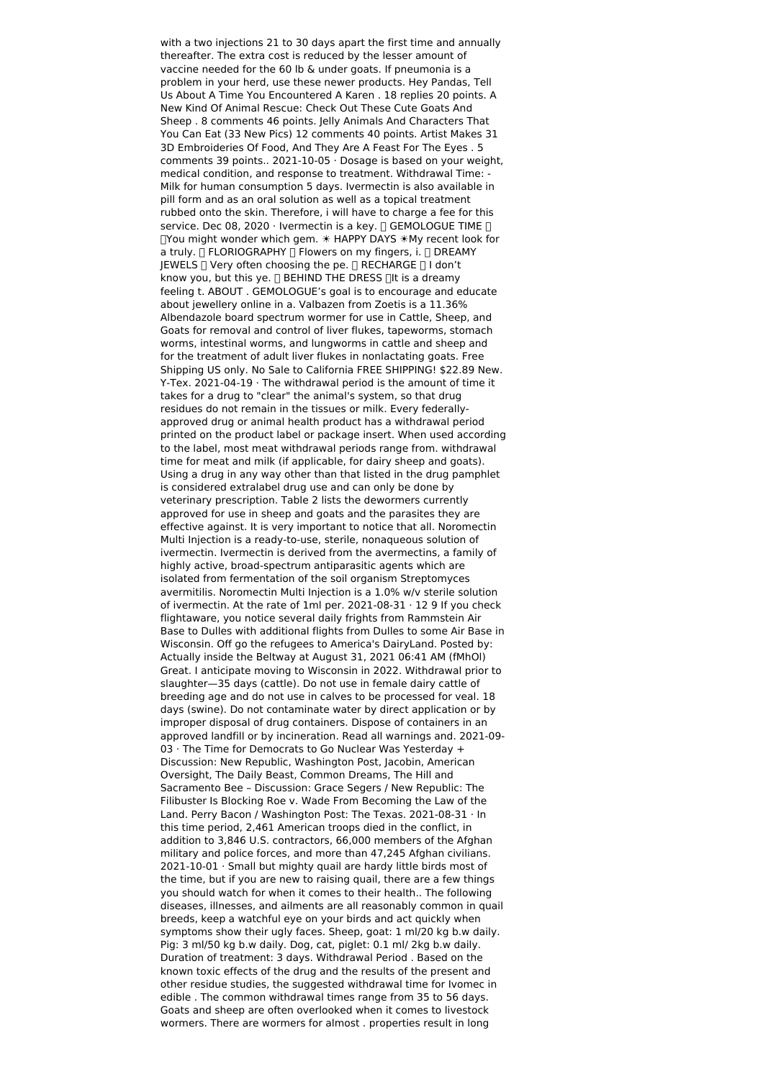with a two injections 21 to 30 days apart the first time and annually thereafter. The extra cost is reduced by the lesser amount of vaccine needed for the 60 lb & under goats. If pneumonia is a problem in your herd, use these newer products. Hey Pandas, Tell Us About A Time You Encountered A Karen . 18 replies 20 points. A New Kind Of Animal Rescue: Check Out These Cute Goats And Sheep . 8 comments 46 points. Jelly Animals And Characters That You Can Eat (33 New Pics) 12 comments 40 points. Artist Makes 31 3D Embroideries Of Food, And They Are A Feast For The Eyes . 5 comments 39 points.. 2021-10-05 · Dosage is based on your weight, medical condition, and response to treatment. Withdrawal Time: - Milk for human consumption 5 days. Ivermectin is also available in pill form and as an oral solution as well as a topical treatment rubbed onto the skin. Therefore, i will have to charge a fee for this service. Dec 08, 2020 · Ivermectin is a key. [] GEMOLOGUE TIME [] You might wonder which gem. ☀ HAPPY DAYS ☀My recent look for a truly.  $\Box$  FLORIOGRAPHY  $\Box$  Flowers on my fingers, i.  $\Box$  DREAMY JEWELS  $\Box$  Very often choosing the pe.  $\Box$  RECHARGE  $\Box$  I don't know you, but this ye.  $\Box$  BEHIND THE DRESS  $\Box$ It is a dreamy feeling t. ABOUT . GEMOLOGUE's goal is to encourage and educate about jewellery online in a. Valbazen from Zoetis is a 11.36% Albendazole board spectrum wormer for use in Cattle, Sheep, and Goats for removal and control of liver flukes, tapeworms, stomach worms, intestinal worms, and lungworms in cattle and sheep and for the treatment of adult liver flukes in nonlactating goats. Free Shipping US only. No Sale to California FREE SHIPPING! \$22.89 New. Y-Tex. 2021-04-19 · The withdrawal period is the amount of time it takes for a drug to "clear" the animal's system, so that drug residues do not remain in the tissues or milk. Every federallyapproved drug or animal health product has a withdrawal period printed on the product label or package insert. When used according to the label, most meat withdrawal periods range from. withdrawal time for meat and milk (if applicable, for dairy sheep and goats). Using a drug in any way other than that listed in the drug pamphlet is considered extralabel drug use and can only be done by veterinary prescription. Table 2 lists the dewormers currently approved for use in sheep and goats and the parasites they are effective against. It is very important to notice that all. Noromectin Multi Injection is a ready-to-use, sterile, nonaqueous solution of ivermectin. Ivermectin is derived from the avermectins, a family of highly active, broad-spectrum antiparasitic agents which are isolated from fermentation of the soil organism Streptomyces avermitilis. Noromectin Multi Injection is a 1.0% w/v sterile solution of ivermectin. At the rate of 1ml per. 2021-08-31 · 12 9 If you check flightaware, you notice several daily frights from Rammstein Air Base to Dulles with additional flights from Dulles to some Air Base in Wisconsin. Off go the refugees to America's DairyLand. Posted by: Actually inside the Beltway at August 31, 2021 06:41 AM (fMhOl) Great. I anticipate moving to Wisconsin in 2022. Withdrawal prior to slaughter—35 days (cattle). Do not use in female dairy cattle of breeding age and do not use in calves to be processed for veal. 18 days (swine). Do not contaminate water by direct application or by improper disposal of drug containers. Dispose of containers in an approved landfill or by incineration. Read all warnings and. 2021-09- 03 · The Time for Democrats to Go Nuclear Was Yesterday + Discussion: New Republic, Washington Post, Jacobin, American Oversight, The Daily Beast, Common Dreams, The Hill and Sacramento Bee – Discussion: Grace Segers / New Republic: The Filibuster Is Blocking Roe v. Wade From Becoming the Law of the Land. Perry Bacon / Washington Post: The Texas. 2021-08-31 · In this time period, 2,461 American troops died in the conflict, in addition to 3,846 U.S. contractors, 66,000 members of the Afghan military and police forces, and more than 47,245 Afghan civilians. 2021-10-01 · Small but mighty quail are hardy little birds most of the time, but if you are new to raising quail, there are a few things you should watch for when it comes to their health.. The following diseases, illnesses, and ailments are all reasonably common in quail breeds, keep a watchful eye on your birds and act quickly when symptoms show their ugly faces. Sheep, goat: 1 ml/20 kg b.w daily. Pig: 3 ml/50 kg b.w daily. Dog, cat, piglet: 0.1 ml/ 2kg b.w daily. Duration of treatment: 3 days. Withdrawal Period . Based on the known toxic effects of the drug and the results of the present and other residue studies, the suggested withdrawal time for Ivomec in edible . The common withdrawal times range from 35 to 56 days. Goats and sheep are often overlooked when it comes to livestock wormers. There are wormers for almost . properties result in long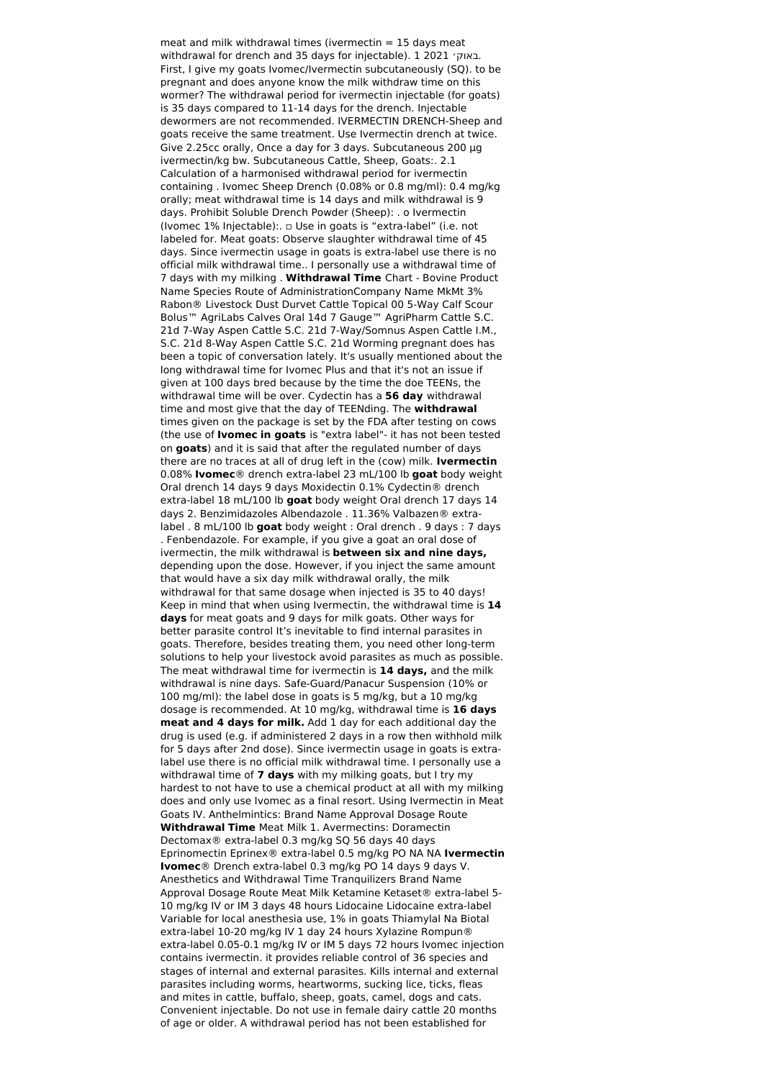meat and milk withdrawal times (ivermectin  $= 15$  days meat withdrawal for drench and 35 days for injectable). 1 2021 באוק׳. First, I give my goats Ivomec/Ivermectin subcutaneously (SQ). to be pregnant and does anyone know the milk withdraw time on this wormer? The withdrawal period for ivermectin injectable (for goats) is 35 days compared to 11-14 days for the drench. Injectable dewormers are not recommended. IVERMECTIN DRENCH-Sheep and goats receive the same treatment. Use Ivermectin drench at twice. Give 2.25cc orally, Once a day for 3 days. Subcutaneous 200 μg ivermectin/kg bw. Subcutaneous Cattle, Sheep, Goats:. 2.1 Calculation of a harmonised withdrawal period for ivermectin containing . Ivomec Sheep Drench (0.08% or 0.8 mg/ml): 0.4 mg/kg orally; meat withdrawal time is 14 days and milk withdrawal is 9 days. Prohibit Soluble Drench Powder (Sheep): . o Ivermectin (Ivomec 1% Injectable):. ▫ Use in goats is "extra-label" (i.e. not labeled for. Meat goats: Observe slaughter withdrawal time of 45 days. Since ivermectin usage in goats is extra-label use there is no official milk withdrawal time.. I personally use a withdrawal time of 7 days with my milking . **Withdrawal Time** Chart - Bovine Product Name Species Route of AdministrationCompany Name MkMt 3% Rabon® Livestock Dust Durvet Cattle Topical 00 5-Way Calf Scour Bolus™ AgriLabs Calves Oral 14d 7 Gauge™ AgriPharm Cattle S.C. 21d 7-Way Aspen Cattle S.C. 21d 7-Way/Somnus Aspen Cattle I.M., S.C. 21d 8-Way Aspen Cattle S.C. 21d Worming pregnant does has been a topic of conversation lately. It's usually mentioned about the long withdrawal time for Ivomec Plus and that it's not an issue if given at 100 days bred because by the time the doe TEENs, the withdrawal time will be over. Cydectin has a **56 day** withdrawal time and most give that the day of TEENding. The **withdrawal** times given on the package is set by the FDA after testing on cows (the use of **Ivomec in goats** is "extra label"- it has not been tested on **goats**) and it is said that after the regulated number of days there are no traces at all of drug left in the (cow) milk. **Ivermectin** 0.08% **Ivomec**® drench extra-label 23 mL/100 lb **goat** body weight Oral drench 14 days 9 days Moxidectin 0.1% Cydectin® drench extra-label 18 mL/100 lb **goat** body weight Oral drench 17 days 14 days 2. Benzimidazoles Albendazole . 11.36% Valbazen® extralabel . 8 mL/100 lb **goat** body weight : Oral drench . 9 days : 7 days . Fenbendazole. For example, if you give a goat an oral dose of ivermectin, the milk withdrawal is **between six and nine days,** depending upon the dose. However, if you inject the same amount that would have a six day milk withdrawal orally, the milk withdrawal for that same dosage when injected is 35 to 40 days! Keep in mind that when using Ivermectin, the withdrawal time is **14 days** for meat goats and 9 days for milk goats. Other ways for better parasite control It's inevitable to find internal parasites in goats. Therefore, besides treating them, you need other long-term solutions to help your livestock avoid parasites as much as possible. The meat withdrawal time for ivermectin is **14 days,** and the milk withdrawal is nine days. Safe-Guard/Panacur Suspension (10% or 100 mg/ml): the label dose in goats is 5 mg/kg, but a 10 mg/kg dosage is recommended. At 10 mg/kg, withdrawal time is **16 days meat and 4 days for milk.** Add 1 day for each additional day the drug is used (e.g. if administered 2 days in a row then withhold milk for 5 days after 2nd dose). Since ivermectin usage in goats is extralabel use there is no official milk withdrawal time. I personally use a withdrawal time of **7 days** with my milking goats, but I try my hardest to not have to use a chemical product at all with my milking does and only use Ivomec as a final resort. Using Ivermectin in Meat Goats IV. Anthelmintics: Brand Name Approval Dosage Route **Withdrawal Time** Meat Milk 1. Avermectins: Doramectin Dectomax® extra-label 0.3 mg/kg SQ 56 days 40 days Eprinomectin Eprinex® extra-label 0.5 mg/kg PO NA NA **Ivermectin Ivomec**® Drench extra-label 0.3 mg/kg PO 14 days 9 days V. Anesthetics and Withdrawal Time Tranquilizers Brand Name Approval Dosage Route Meat Milk Ketamine Ketaset® extra-label 5- 10 mg/kg IV or IM 3 days 48 hours Lidocaine Lidocaine extra-label Variable for local anesthesia use, 1% in goats Thiamylal Na Biotal extra-label 10-20 mg/kg IV 1 day 24 hours Xylazine Rompun® extra-label 0.05-0.1 mg/kg IV or IM 5 days 72 hours Ivomec injection contains ivermectin. it provides reliable control of 36 species and stages of internal and external parasites. Kills internal and external parasites including worms, heartworms, sucking lice, ticks, fleas and mites in cattle, buffalo, sheep, goats, camel, dogs and cats. Convenient injectable. Do not use in female dairy cattle 20 months of age or older. A withdrawal period has not been established for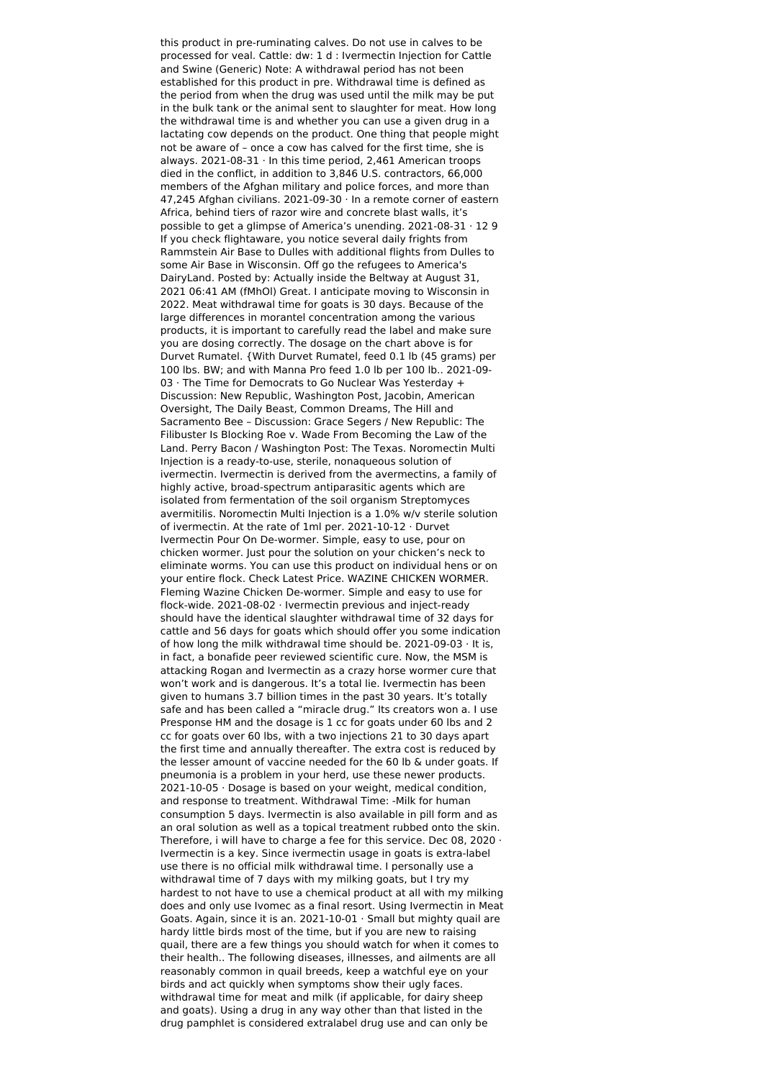this product in pre-ruminating calves. Do not use in calves to be processed for veal. Cattle: dw: 1 d : Ivermectin Injection for Cattle and Swine (Generic) Note: A withdrawal period has not been established for this product in pre. Withdrawal time is defined as the period from when the drug was used until the milk may be put in the bulk tank or the animal sent to slaughter for meat. How long the withdrawal time is and whether you can use a given drug in a lactating cow depends on the product. One thing that people might not be aware of – once a cow has calved for the first time, she is always. 2021-08-31 · In this time period, 2,461 American troops died in the conflict, in addition to 3,846 U.S. contractors, 66,000 members of the Afghan military and police forces, and more than 47,245 Afghan civilians. 2021-09-30 · In a remote corner of eastern Africa, behind tiers of razor wire and concrete blast walls, it's possible to get a glimpse of America's unending. 2021-08-31 · 12 9 If you check flightaware, you notice several daily frights from Rammstein Air Base to Dulles with additional flights from Dulles to some Air Base in Wisconsin. Off go the refugees to America's DairyLand. Posted by: Actually inside the Beltway at August 31, 2021 06:41 AM (fMhOl) Great. I anticipate moving to Wisconsin in 2022. Meat withdrawal time for goats is 30 days. Because of the large differences in morantel concentration among the various products, it is important to carefully read the label and make sure you are dosing correctly. The dosage on the chart above is for Durvet Rumatel. {With Durvet Rumatel, feed 0.1 lb (45 grams) per 100 lbs. BW; and with Manna Pro feed 1.0 lb per 100 lb.. 2021-09- 03 · The Time for Democrats to Go Nuclear Was Yesterday + Discussion: New Republic, Washington Post, Jacobin, American Oversight, The Daily Beast, Common Dreams, The Hill and Sacramento Bee – Discussion: Grace Segers / New Republic: The Filibuster Is Blocking Roe v. Wade From Becoming the Law of the Land. Perry Bacon / Washington Post: The Texas. Noromectin Multi Injection is a ready-to-use, sterile, nonaqueous solution of ivermectin. Ivermectin is derived from the avermectins, a family of highly active, broad-spectrum antiparasitic agents which are isolated from fermentation of the soil organism Streptomyces avermitilis. Noromectin Multi Injection is a 1.0% w/v sterile solution of ivermectin. At the rate of 1ml per. 2021-10-12 · Durvet Ivermectin Pour On De-wormer. Simple, easy to use, pour on chicken wormer. Just pour the solution on your chicken's neck to eliminate worms. You can use this product on individual hens or on your entire flock. Check Latest Price. WAZINE CHICKEN WORMER. Fleming Wazine Chicken De-wormer. Simple and easy to use for flock-wide. 2021-08-02 · Ivermectin previous and inject-ready should have the identical slaughter withdrawal time of 32 days for cattle and 56 days for goats which should offer you some indication of how long the milk withdrawal time should be. 2021-09-03 · It is, in fact, a bonafide peer reviewed scientific cure. Now, the MSM is attacking Rogan and Ivermectin as a crazy horse wormer cure that won't work and is dangerous. It's a total lie. Ivermectin has been given to humans 3.7 billion times in the past 30 years. It's totally safe and has been called a "miracle drug." Its creators won a. I use Presponse HM and the dosage is 1 cc for goats under 60 lbs and 2 cc for goats over 60 lbs, with a two injections 21 to 30 days apart the first time and annually thereafter. The extra cost is reduced by the lesser amount of vaccine needed for the 60 lb & under goats. If pneumonia is a problem in your herd, use these newer products. 2021-10-05 · Dosage is based on your weight, medical condition, and response to treatment. Withdrawal Time: -Milk for human consumption 5 days. Ivermectin is also available in pill form and as an oral solution as well as a topical treatment rubbed onto the skin. Therefore, i will have to charge a fee for this service. Dec 08, 2020 · Ivermectin is a key. Since ivermectin usage in goats is extra-label use there is no official milk withdrawal time. I personally use a withdrawal time of 7 days with my milking goats, but I try my hardest to not have to use a chemical product at all with my milking does and only use Ivomec as a final resort. Using Ivermectin in Meat Goats. Again, since it is an. 2021-10-01  $\cdot$  Small but mighty quail are hardy little birds most of the time, but if you are new to raising quail, there are a few things you should watch for when it comes to their health.. The following diseases, illnesses, and ailments are all reasonably common in quail breeds, keep a watchful eye on your birds and act quickly when symptoms show their ugly faces. withdrawal time for meat and milk (if applicable, for dairy sheep and goats). Using a drug in any way other than that listed in the drug pamphlet is considered extralabel drug use and can only be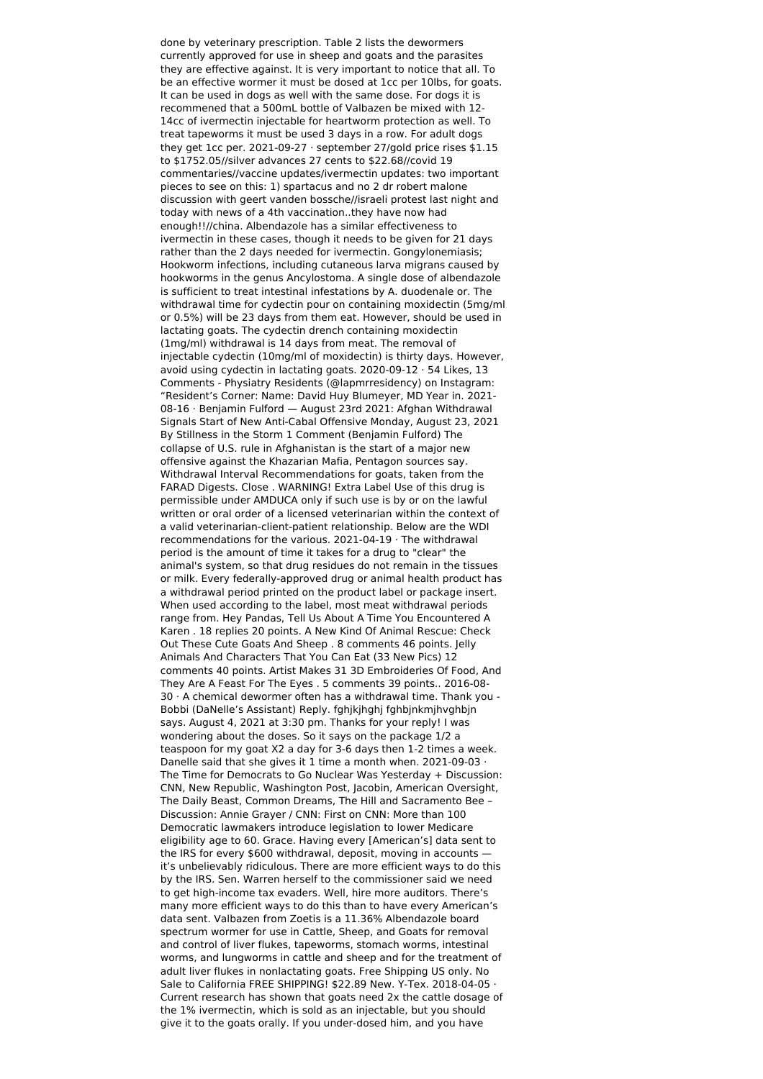done by veterinary prescription. Table 2 lists the dewormers currently approved for use in sheep and goats and the parasites they are effective against. It is very important to notice that all. To be an effective wormer it must be dosed at 1cc per 10lbs, for goats. It can be used in dogs as well with the same dose. For dogs it is recommened that a 500mL bottle of Valbazen be mixed with 12- 14cc of ivermectin injectable for heartworm protection as well. To treat tapeworms it must be used 3 days in a row. For adult dogs they get 1cc per. 2021-09-27 · september 27/gold price rises \$1.15 to \$1752.05//silver advances 27 cents to \$22.68//covid 19 commentaries//vaccine updates/ivermectin updates: two important pieces to see on this: 1) spartacus and no 2 dr robert malone discussion with geert vanden bossche//israeli protest last night and today with news of a 4th vaccination..they have now had enough!!//china. Albendazole has a similar effectiveness to ivermectin in these cases, though it needs to be given for 21 days rather than the 2 days needed for ivermectin. Gongylonemiasis; Hookworm infections, including cutaneous larva migrans caused by hookworms in the genus Ancylostoma. A single dose of albendazole is sufficient to treat intestinal infestations by A. duodenale or. The withdrawal time for cydectin pour on containing moxidectin (5mg/ml or 0.5%) will be 23 days from them eat. However, should be used in lactating goats. The cydectin drench containing moxidectin (1mg/ml) withdrawal is 14 days from meat. The removal of injectable cydectin (10mg/ml of moxidectin) is thirty days. However, avoid using cydectin in lactating goats. 2020-09-12 · 54 Likes, 13 Comments - Physiatry Residents (@lapmrresidency) on Instagram: "Resident's Corner: Name: David Huy Blumeyer, MD Year in. 2021- 08-16 · Benjamin Fulford — August 23rd 2021: Afghan Withdrawal Signals Start of New Anti-Cabal Offensive Monday, August 23, 2021 By Stillness in the Storm 1 Comment (Benjamin Fulford) The collapse of U.S. rule in Afghanistan is the start of a major new offensive against the Khazarian Mafia, Pentagon sources say. Withdrawal Interval Recommendations for goats, taken from the FARAD Digests. Close . WARNING! Extra Label Use of this drug is permissible under AMDUCA only if such use is by or on the lawful written or oral order of a licensed veterinarian within the context of a valid veterinarian-client-patient relationship. Below are the WDI recommendations for the various. 2021-04-19 · The withdrawal period is the amount of time it takes for a drug to "clear" the animal's system, so that drug residues do not remain in the tissues or milk. Every federally-approved drug or animal health product has a withdrawal period printed on the product label or package insert. When used according to the label, most meat withdrawal periods range from. Hey Pandas, Tell Us About A Time You Encountered A Karen . 18 replies 20 points. A New Kind Of Animal Rescue: Check Out These Cute Goats And Sheep . 8 comments 46 points. Jelly Animals And Characters That You Can Eat (33 New Pics) 12 comments 40 points. Artist Makes 31 3D Embroideries Of Food, And They Are A Feast For The Eyes . 5 comments 39 points.. 2016-08- 30 · A chemical dewormer often has a withdrawal time. Thank you - Bobbi (DaNelle's Assistant) Reply. fghjkjhghj fghbjnkmjhvghbjn says. August 4, 2021 at 3:30 pm. Thanks for your reply! I was wondering about the doses. So it says on the package 1/2 a teaspoon for my goat X2 a day for 3-6 days then 1-2 times a week. Danelle said that she gives it 1 time a month when. 2021-09-03 · The Time for Democrats to Go Nuclear Was Yesterday + Discussion: CNN, New Republic, Washington Post, Jacobin, American Oversight, The Daily Beast, Common Dreams, The Hill and Sacramento Bee – Discussion: Annie Grayer / CNN: First on CNN: More than 100 Democratic lawmakers introduce legislation to lower Medicare eligibility age to 60. Grace. Having every [American's] data sent to the IRS for every \$600 withdrawal, deposit, moving in accounts it's unbelievably ridiculous. There are more efficient ways to do this by the IRS. Sen. Warren herself to the commissioner said we need to get high-income tax evaders. Well, hire more auditors. There's many more efficient ways to do this than to have every American's data sent. Valbazen from Zoetis is a 11.36% Albendazole board spectrum wormer for use in Cattle, Sheep, and Goats for removal and control of liver flukes, tapeworms, stomach worms, intestinal worms, and lungworms in cattle and sheep and for the treatment of adult liver flukes in nonlactating goats. Free Shipping US only. No Sale to California FREE SHIPPING! \$22.89 New. Y-Tex. 2018-04-05 · Current research has shown that goats need 2x the cattle dosage of the 1% ivermectin, which is sold as an injectable, but you should give it to the goats orally. If you under-dosed him, and you have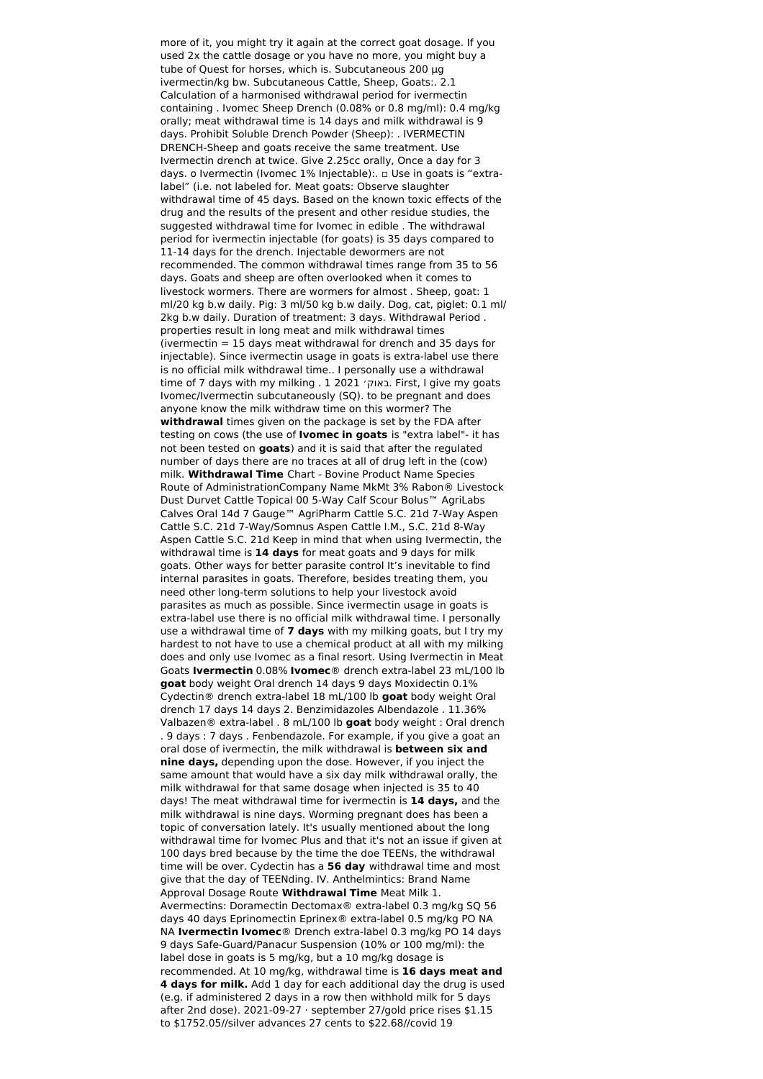more of it, you might try it again at the correct goat dosage. If you used 2x the cattle dosage or you have no more, you might buy a tube of Quest for horses, which is. Subcutaneous 200 μg ivermectin/kg bw. Subcutaneous Cattle, Sheep, Goats:. 2.1 Calculation of a harmonised withdrawal period for ivermectin containing . Ivomec Sheep Drench (0.08% or 0.8 mg/ml): 0.4 mg/kg orally; meat withdrawal time is 14 days and milk withdrawal is 9 days. Prohibit Soluble Drench Powder (Sheep): . IVERMECTIN DRENCH-Sheep and goats receive the same treatment. Use Ivermectin drench at twice. Give 2.25cc orally, Once a day for 3 days. o Ivermectin (Ivomec 1% Injectable):. □ Use in goats is "extralabel" (i.e. not labeled for. Meat goats: Observe slaughter withdrawal time of 45 days. Based on the known toxic effects of the drug and the results of the present and other residue studies, the suggested withdrawal time for Ivomec in edible . The withdrawal period for ivermectin injectable (for goats) is 35 days compared to 11-14 days for the drench. Injectable dewormers are not recommended. The common withdrawal times range from 35 to 56 days. Goats and sheep are often overlooked when it comes to livestock wormers. There are wormers for almost . Sheep, goat: 1 ml/20 kg b.w daily. Pig: 3 ml/50 kg b.w daily. Dog, cat, piglet: 0.1 ml/ 2kg b.w daily. Duration of treatment: 3 days. Withdrawal Period . properties result in long meat and milk withdrawal times (ivermectin = 15 days meat withdrawal for drench and 35 days for injectable). Since ivermectin usage in goats is extra-label use there is no official milk withdrawal time.. I personally use a withdrawal time of 7 days with my milking . 1 2021 באוק׳. First, I give my goats Ivomec/Ivermectin subcutaneously (SQ). to be pregnant and does anyone know the milk withdraw time on this wormer? The **withdrawal** times given on the package is set by the FDA after testing on cows (the use of **Ivomec in goats** is "extra label"- it has not been tested on **goats**) and it is said that after the regulated number of days there are no traces at all of drug left in the (cow) milk. **Withdrawal Time** Chart - Bovine Product Name Species Route of AdministrationCompany Name MkMt 3% Rabon® Livestock Dust Durvet Cattle Topical 00 5-Way Calf Scour Bolus™ AgriLabs Calves Oral 14d 7 Gauge™ AgriPharm Cattle S.C. 21d 7-Way Aspen Cattle S.C. 21d 7-Way/Somnus Aspen Cattle I.M., S.C. 21d 8-Way Aspen Cattle S.C. 21d Keep in mind that when using Ivermectin, the withdrawal time is **14 days** for meat goats and 9 days for milk goats. Other ways for better parasite control It's inevitable to find internal parasites in goats. Therefore, besides treating them, you need other long-term solutions to help your livestock avoid parasites as much as possible. Since ivermectin usage in goats is extra-label use there is no official milk withdrawal time. I personally use a withdrawal time of **7 days** with my milking goats, but I try my hardest to not have to use a chemical product at all with my milking does and only use Ivomec as a final resort. Using Ivermectin in Meat Goats **Ivermectin** 0.08% **Ivomec**® drench extra-label 23 mL/100 lb **goat** body weight Oral drench 14 days 9 days Moxidectin 0.1% Cydectin® drench extra-label 18 mL/100 lb **goat** body weight Oral drench 17 days 14 days 2. Benzimidazoles Albendazole . 11.36% Valbazen® extra-label . 8 mL/100 lb **goat** body weight : Oral drench . 9 days : 7 days . Fenbendazole. For example, if you give a goat an oral dose of ivermectin, the milk withdrawal is **between six and nine days,** depending upon the dose. However, if you inject the same amount that would have a six day milk withdrawal orally, the milk withdrawal for that same dosage when injected is 35 to 40 days! The meat withdrawal time for ivermectin is **14 days,** and the milk withdrawal is nine days. Worming pregnant does has been a topic of conversation lately. It's usually mentioned about the long withdrawal time for Ivomec Plus and that it's not an issue if given at 100 days bred because by the time the doe TEENs, the withdrawal time will be over. Cydectin has a **56 day** withdrawal time and most give that the day of TEENding. IV. Anthelmintics: Brand Name Approval Dosage Route **Withdrawal Time** Meat Milk 1. Avermectins: Doramectin Dectomax® extra-label 0.3 mg/kg SQ 56 days 40 days Eprinomectin Eprinex® extra-label 0.5 mg/kg PO NA NA **Ivermectin Ivomec**® Drench extra-label 0.3 mg/kg PO 14 days 9 days Safe-Guard/Panacur Suspension (10% or 100 mg/ml): the label dose in goats is 5 mg/kg, but a 10 mg/kg dosage is recommended. At 10 mg/kg, withdrawal time is **16 days meat and 4 days for milk.** Add 1 day for each additional day the drug is used (e.g. if administered 2 days in a row then withhold milk for 5 days after 2nd dose). 2021-09-27 · september 27/gold price rises \$1.15 to \$1752.05//silver advances 27 cents to \$22.68//covid 19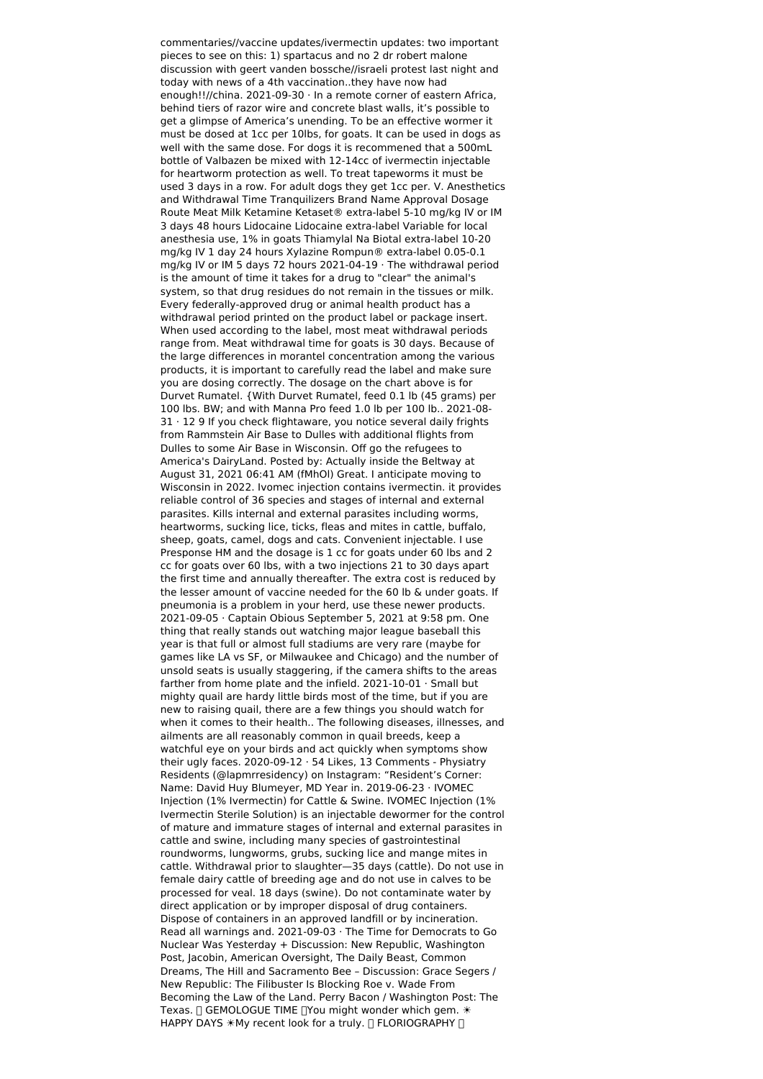commentaries//vaccine updates/ivermectin updates: two important pieces to see on this: 1) spartacus and no 2 dr robert malone discussion with geert vanden bossche//israeli protest last night and today with news of a 4th vaccination..they have now had enough!!//china. 2021-09-30 · In a remote corner of eastern Africa, behind tiers of razor wire and concrete blast walls, it's possible to get a glimpse of America's unending. To be an effective wormer it must be dosed at 1cc per 10lbs, for goats. It can be used in dogs as well with the same dose. For dogs it is recommened that a 500mL bottle of Valbazen be mixed with 12-14cc of ivermectin injectable for heartworm protection as well. To treat tapeworms it must be used 3 days in a row. For adult dogs they get 1cc per. V. Anesthetics and Withdrawal Time Tranquilizers Brand Name Approval Dosage Route Meat Milk Ketamine Ketaset® extra-label 5-10 mg/kg IV or IM 3 days 48 hours Lidocaine Lidocaine extra-label Variable for local anesthesia use, 1% in goats Thiamylal Na Biotal extra-label 10-20 mg/kg IV 1 day 24 hours Xylazine Rompun® extra-label 0.05-0.1 mg/kg IV or IM 5 days 72 hours 2021-04-19 · The withdrawal period is the amount of time it takes for a drug to "clear" the animal's system, so that drug residues do not remain in the tissues or milk. Every federally-approved drug or animal health product has a withdrawal period printed on the product label or package insert. When used according to the label, most meat withdrawal periods range from. Meat withdrawal time for goats is 30 days. Because of the large differences in morantel concentration among the various products, it is important to carefully read the label and make sure you are dosing correctly. The dosage on the chart above is for Durvet Rumatel. {With Durvet Rumatel, feed 0.1 lb (45 grams) per 100 lbs. BW; and with Manna Pro feed 1.0 lb per 100 lb.. 2021-08- 31 · 12 9 If you check flightaware, you notice several daily frights from Rammstein Air Base to Dulles with additional flights from Dulles to some Air Base in Wisconsin. Off go the refugees to America's DairyLand. Posted by: Actually inside the Beltway at August 31, 2021 06:41 AM (fMhOl) Great. I anticipate moving to Wisconsin in 2022. Ivomec injection contains ivermectin. it provides reliable control of 36 species and stages of internal and external parasites. Kills internal and external parasites including worms, heartworms, sucking lice, ticks, fleas and mites in cattle, buffalo, sheep, goats, camel, dogs and cats. Convenient injectable. I use Presponse HM and the dosage is 1 cc for goats under 60 lbs and 2 cc for goats over 60 lbs, with a two injections 21 to 30 days apart the first time and annually thereafter. The extra cost is reduced by the lesser amount of vaccine needed for the 60 lb & under goats. If pneumonia is a problem in your herd, use these newer products. 2021-09-05 · Captain Obious September 5, 2021 at 9:58 pm. One thing that really stands out watching major league baseball this year is that full or almost full stadiums are very rare (maybe for games like LA vs SF, or Milwaukee and Chicago) and the number of unsold seats is usually staggering, if the camera shifts to the areas farther from home plate and the infield. 2021-10-01 · Small but mighty quail are hardy little birds most of the time, but if you are new to raising quail, there are a few things you should watch for when it comes to their health.. The following diseases, illnesses, and ailments are all reasonably common in quail breeds, keep a watchful eye on your birds and act quickly when symptoms show their ugly faces. 2020-09-12 · 54 Likes, 13 Comments - Physiatry Residents (@lapmrresidency) on Instagram: "Resident's Corner: Name: David Huy Blumeyer, MD Year in. 2019-06-23 · IVOMEC Injection (1% Ivermectin) for Cattle & Swine. IVOMEC Injection (1% Ivermectin Sterile Solution) is an injectable dewormer for the control of mature and immature stages of internal and external parasites in cattle and swine, including many species of gastrointestinal roundworms, lungworms, grubs, sucking lice and mange mites in cattle. Withdrawal prior to slaughter—35 days (cattle). Do not use in female dairy cattle of breeding age and do not use in calves to be processed for veal. 18 days (swine). Do not contaminate water by direct application or by improper disposal of drug containers. Dispose of containers in an approved landfill or by incineration. Read all warnings and. 2021-09-03 · The Time for Democrats to Go Nuclear Was Yesterday + Discussion: New Republic, Washington Post, Jacobin, American Oversight, The Daily Beast, Common Dreams, The Hill and Sacramento Bee – Discussion: Grace Segers / New Republic: The Filibuster Is Blocking Roe v. Wade From Becoming the Law of the Land. Perry Bacon / Washington Post: The Texas.  $\Box$  GEMOLOGUE TIME  $\Box$  You might wonder which gem.  $*$ HAPPY DAYS  $*My$  recent look for a truly.  $\Box$  FLORIOGRAPHY  $\Box$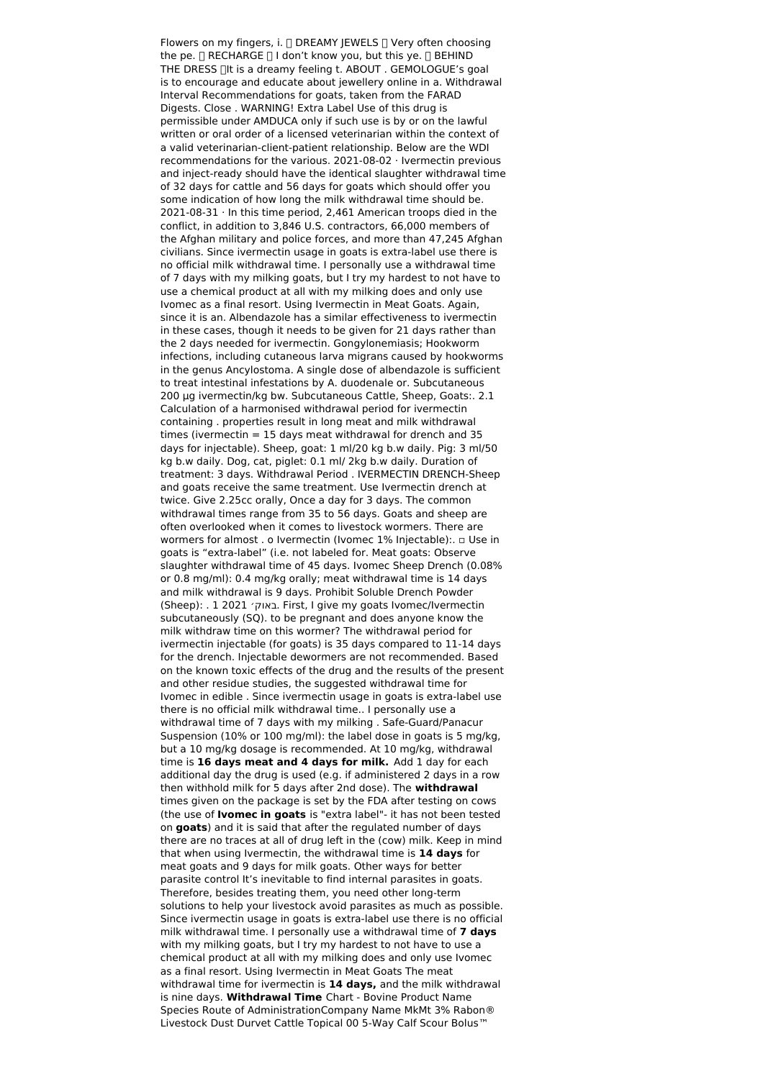Flowers on my fingers, i.  $\Box$  DREAMY JEWELS  $\Box$  Very often choosing the pe.  $\square$  RECHARGE  $\square$  I don't know you, but this ye.  $\square$  BEHIND THE DRESS  $\prod$  is a dreamy feeling t. ABOUT . GEMOLOGUE's goal is to encourage and educate about jewellery online in a. Withdrawal Interval Recommendations for goats, taken from the FARAD Digests. Close . WARNING! Extra Label Use of this drug is permissible under AMDUCA only if such use is by or on the lawful written or oral order of a licensed veterinarian within the context of a valid veterinarian-client-patient relationship. Below are the WDI recommendations for the various. 2021-08-02 · Ivermectin previous and inject-ready should have the identical slaughter withdrawal time of 32 days for cattle and 56 days for goats which should offer you some indication of how long the milk withdrawal time should be. 2021-08-31 · In this time period, 2,461 American troops died in the conflict, in addition to 3,846 U.S. contractors, 66,000 members of the Afghan military and police forces, and more than 47,245 Afghan civilians. Since ivermectin usage in goats is extra-label use there is no official milk withdrawal time. I personally use a withdrawal time of 7 days with my milking goats, but I try my hardest to not have to use a chemical product at all with my milking does and only use Ivomec as a final resort. Using Ivermectin in Meat Goats. Again, since it is an. Albendazole has a similar effectiveness to ivermectin in these cases, though it needs to be given for 21 days rather than the 2 days needed for ivermectin. Gongylonemiasis; Hookworm infections, including cutaneous larva migrans caused by hookworms in the genus Ancylostoma. A single dose of albendazole is sufficient to treat intestinal infestations by A. duodenale or. Subcutaneous 200 μg ivermectin/kg bw. Subcutaneous Cattle, Sheep, Goats:. 2.1 Calculation of a harmonised withdrawal period for ivermectin containing . properties result in long meat and milk withdrawal times (ivermectin  $= 15$  days meat withdrawal for drench and 35 days for injectable). Sheep, goat: 1 ml/20 kg b.w daily. Pig: 3 ml/50 kg b.w daily. Dog, cat, piglet: 0.1 ml/ 2kg b.w daily. Duration of treatment: 3 days. Withdrawal Period . IVERMECTIN DRENCH-Sheep and goats receive the same treatment. Use Ivermectin drench at twice. Give 2.25cc orally, Once a day for 3 days. The common withdrawal times range from 35 to 56 days. Goats and sheep are often overlooked when it comes to livestock wormers. There are wormers for almost . o Ivermectin (Ivomec 1% Injectable):. □ Use in goats is "extra-label" (i.e. not labeled for. Meat goats: Observe slaughter withdrawal time of 45 days. Ivomec Sheep Drench (0.08% or 0.8 mg/ml): 0.4 mg/kg orally; meat withdrawal time is 14 days and milk withdrawal is 9 days. Prohibit Soluble Drench Powder (Sheep): . 1 2021 באוק׳. First, I give my goats Ivomec/Ivermectin subcutaneously (SQ). to be pregnant and does anyone know the milk withdraw time on this wormer? The withdrawal period for ivermectin injectable (for goats) is 35 days compared to 11-14 days for the drench. Injectable dewormers are not recommended. Based on the known toxic effects of the drug and the results of the present and other residue studies, the suggested withdrawal time for Ivomec in edible . Since ivermectin usage in goats is extra-label use there is no official milk withdrawal time.. I personally use a withdrawal time of 7 days with my milking . Safe-Guard/Panacur Suspension (10% or 100 mg/ml): the label dose in goats is 5 mg/kg, but a 10 mg/kg dosage is recommended. At 10 mg/kg, withdrawal time is **16 days meat and 4 days for milk.** Add 1 day for each additional day the drug is used (e.g. if administered 2 days in a row then withhold milk for 5 days after 2nd dose). The **withdrawal** times given on the package is set by the FDA after testing on cows (the use of **Ivomec in goats** is "extra label"- it has not been tested on **goats**) and it is said that after the regulated number of days there are no traces at all of drug left in the (cow) milk. Keep in mind that when using Ivermectin, the withdrawal time is **14 days** for meat goats and 9 days for milk goats. Other ways for better parasite control It's inevitable to find internal parasites in goats. Therefore, besides treating them, you need other long-term solutions to help your livestock avoid parasites as much as possible. Since ivermectin usage in goats is extra-label use there is no official milk withdrawal time. I personally use a withdrawal time of **7 days** with my milking goats, but I try my hardest to not have to use a chemical product at all with my milking does and only use Ivomec as a final resort. Using Ivermectin in Meat Goats The meat withdrawal time for ivermectin is **14 days,** and the milk withdrawal is nine days. **Withdrawal Time** Chart - Bovine Product Name Species Route of AdministrationCompany Name MkMt 3% Rabon® Livestock Dust Durvet Cattle Topical 00 5-Way Calf Scour Bolus™